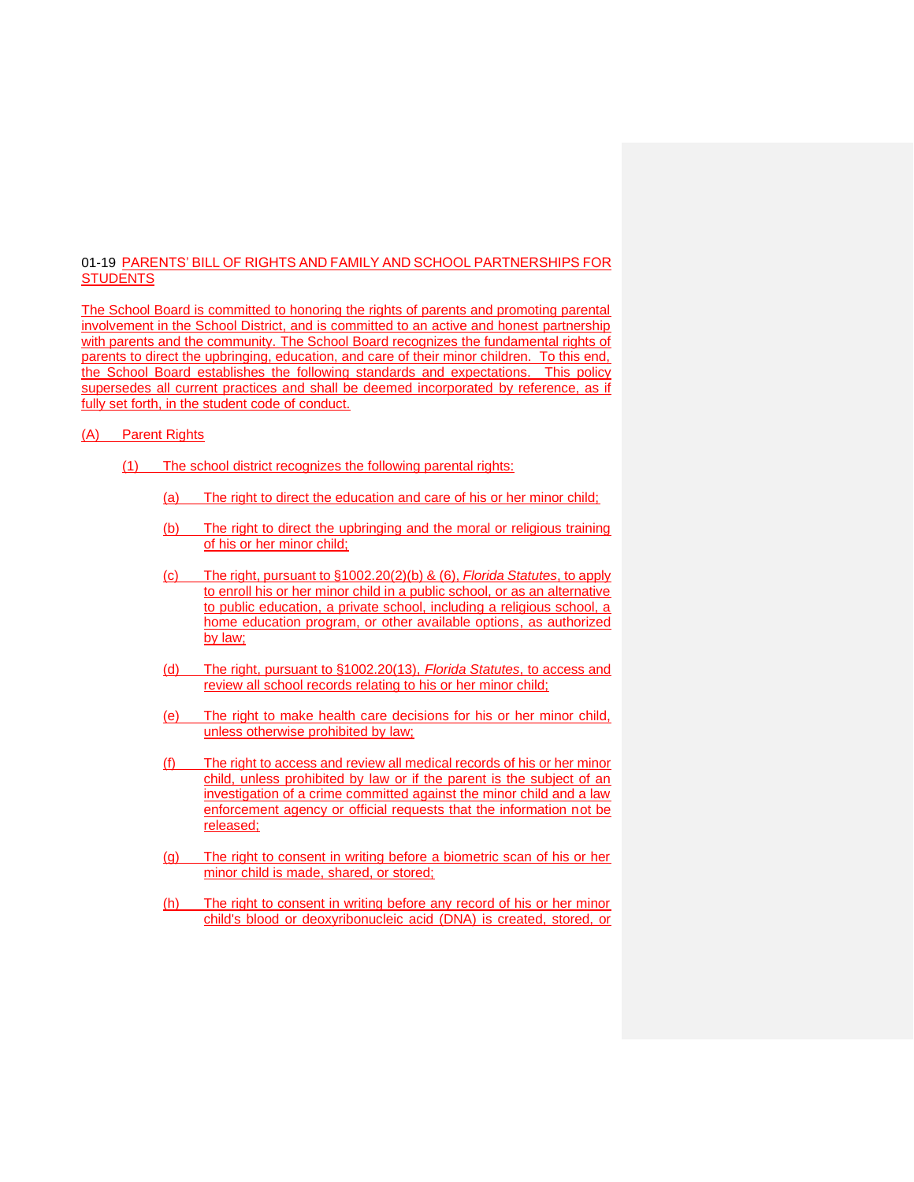## 01-19 PARENTS' BILL OF RIGHTS AND FAMILY AND SCHOOL PARTNERSHIPS FOR **STUDENTS**

The School Board is committed to honoring the rights of parents and promoting parental involvement in the School District, and is committed to an active and honest partnership with parents and the community. The School Board recognizes the fundamental rights of parents to direct the upbringing, education, and care of their minor children. To this end, the School Board establishes the following standards and expectations. This policy supersedes all current practices and shall be deemed incorporated by reference, as if fully set forth, in the student code of conduct.

## (A) Parent Rights

- (1) The school district recognizes the following parental rights:
	- (a) The right to direct the education and care of his or her minor child;
	- (b) The right to direct the upbringing and the moral or religious training of his or her minor child;
	- (c) The right, pursuant to §1002.20(2)(b) & (6), *Florida Statutes*, to apply to enroll his or her minor child in a public school, or as an alternative to public education, a private school, including a religious school, a home education program, or other available options, as authorized by law;
	- (d) The right, pursuant to §1002.20(13), *Florida Statutes*, to access and review all school records relating to his or her minor child;
	- (e) The right to make health care decisions for his or her minor child, unless otherwise prohibited by law;
	- (f) The right to access and review all medical records of his or her minor child, unless prohibited by law or if the parent is the subject of an investigation of a crime committed against the minor child and a law enforcement agency or official requests that the information not be released;
	- (g) The right to consent in writing before a biometric scan of his or her minor child is made, shared, or stored;
	- (h) The right to consent in writing before any record of his or her minor child's blood or deoxyribonucleic acid (DNA) is created, stored, or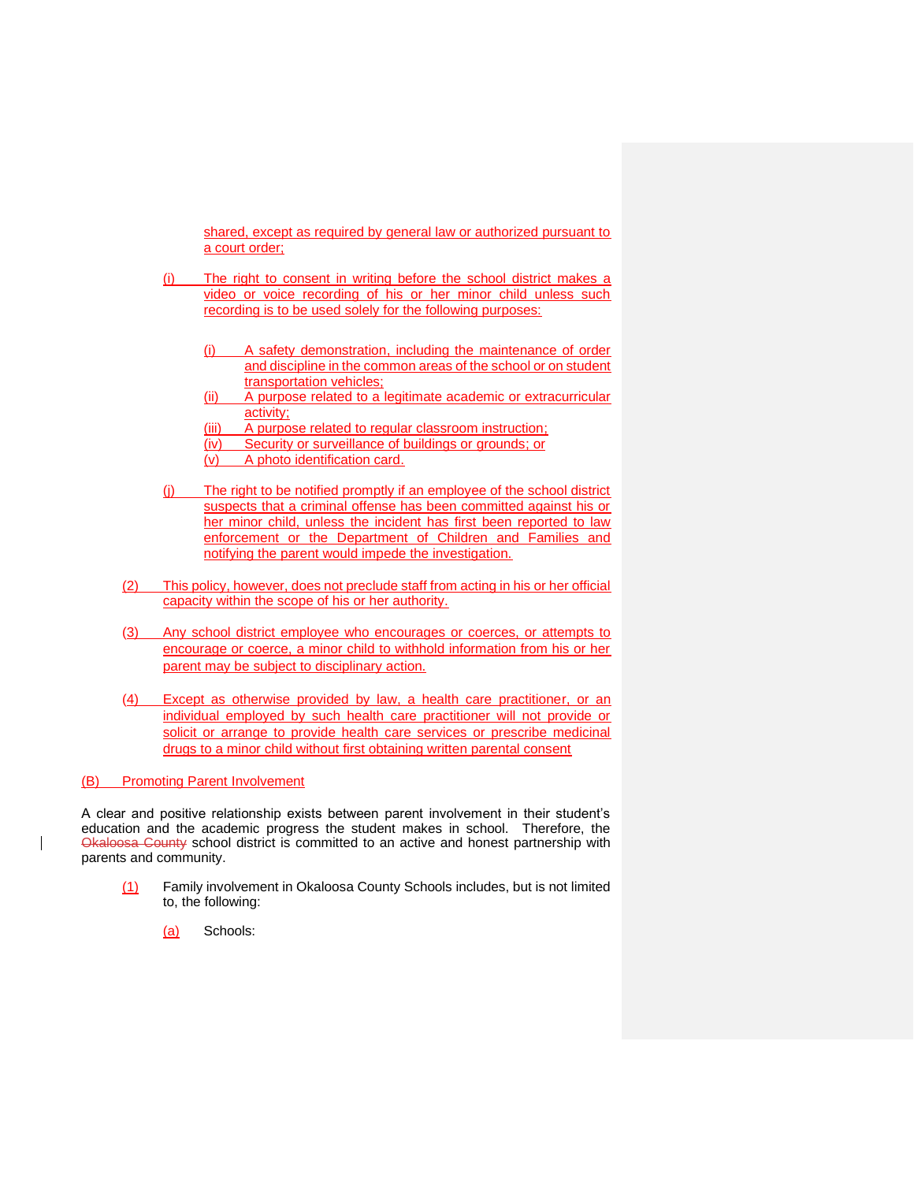shared, except as required by general law or authorized pursuant to a court order;

- (i) The right to consent in writing before the school district makes a video or voice recording of his or her minor child unless such recording is to be used solely for the following purposes:
	- (i) A safety demonstration, including the maintenance of order and discipline in the common areas of the school or on student transportation vehicles;
	- (ii) A purpose related to a legitimate academic or extracurricular activity;
	- (iii) A purpose related to regular classroom instruction;
	- (iv) Security or surveillance of buildings or grounds; or
	- (v) A photo identification card.
- (j) The right to be notified promptly if an employee of the school district suspects that a criminal offense has been committed against his or her minor child, unless the incident has first been reported to law enforcement or the Department of Children and Families and notifying the parent would impede the investigation.
- (2) This policy, however, does not preclude staff from acting in his or her official capacity within the scope of his or her authority.
- (3) Any school district employee who encourages or coerces, or attempts to encourage or coerce, a minor child to withhold information from his or her parent may be subject to disciplinary action.
- (4) Except as otherwise provided by law, a health care practitioner, or an individual employed by such health care practitioner will not provide or solicit or arrange to provide health care services or prescribe medicinal drugs to a minor child without first obtaining written parental consent

(B) Promoting Parent Involvement

A clear and positive relationship exists between parent involvement in their student's education and the academic progress the student makes in school. Therefore, the Okaloosa County school district is committed to an active and honest partnership with parents and community.

- (1) Family involvement in Okaloosa County Schools includes, but is not limited to, the following:
	- (a) Schools: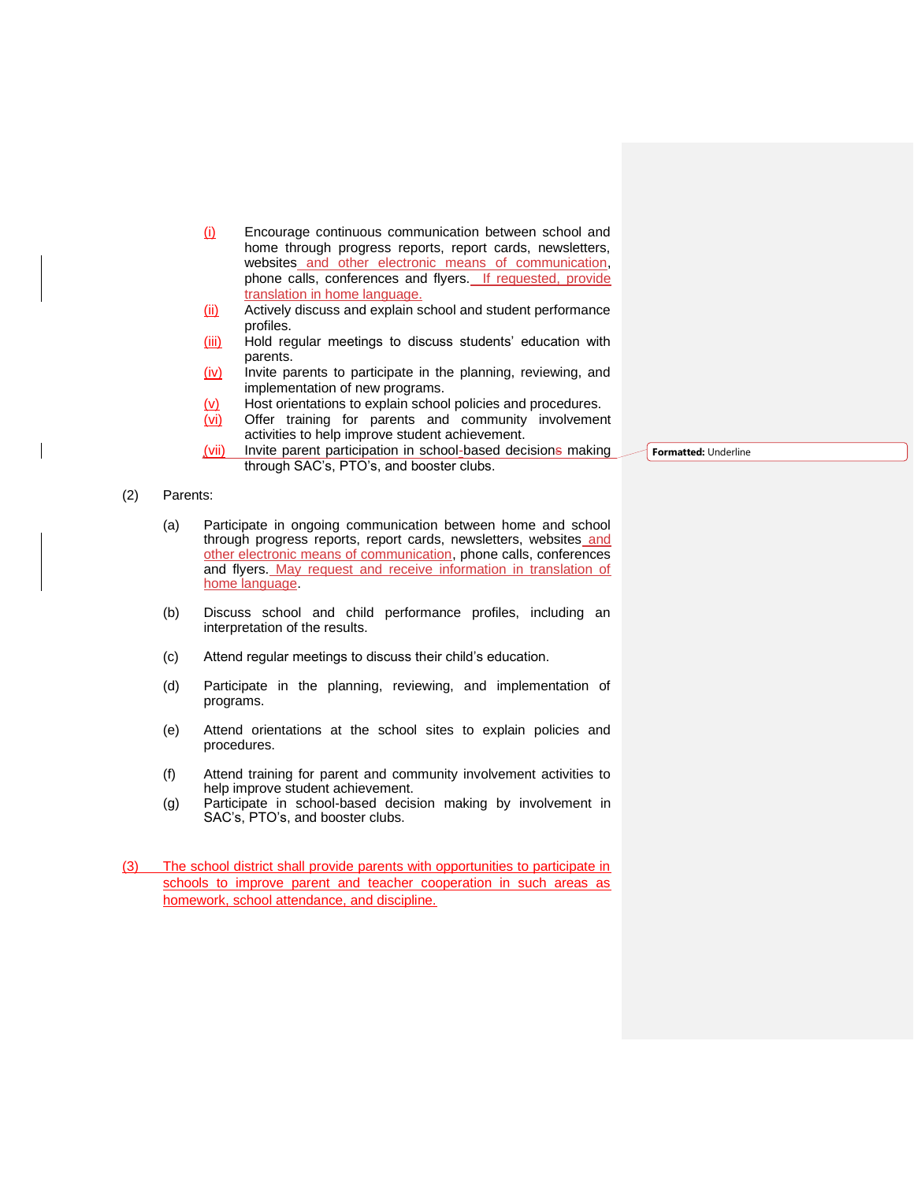- (i) Encourage continuous communication between school and home through progress reports, report cards, newsletters, websites and other electronic means of communication, phone calls, conferences and flyers. If requested, provide translation in home language.
- (ii) Actively discuss and explain school and student performance profiles.
- (iii) Hold regular meetings to discuss students' education with parents.
- $(iv)$  Invite parents to participate in the planning, reviewing, and implementation of new programs.
- (v) Host orientations to explain school policies and procedures.
- (vi) Offer training for parents and community involvement activities to help improve student achievement.
- (vii) Invite parent participation in school-based decisions making through SAC's, PTO's, and booster clubs.

**Formatted:** Underline

## (2) Parents:

- (a) Participate in ongoing communication between home and school through progress reports, report cards, newsletters, websites and other electronic means of communication, phone calls, conferences and flyers. May request and receive information in translation of home language.
- (b) Discuss school and child performance profiles, including an interpretation of the results.
- (c) Attend regular meetings to discuss their child's education.
- (d) Participate in the planning, reviewing, and implementation of programs.
- (e) Attend orientations at the school sites to explain policies and procedures.
- (f) Attend training for parent and community involvement activities to help improve student achievement.
- (g) Participate in school-based decision making by involvement in SAC's, PTO's, and booster clubs.
- (3) The school district shall provide parents with opportunities to participate in schools to improve parent and teacher cooperation in such areas as homework, school attendance, and discipline.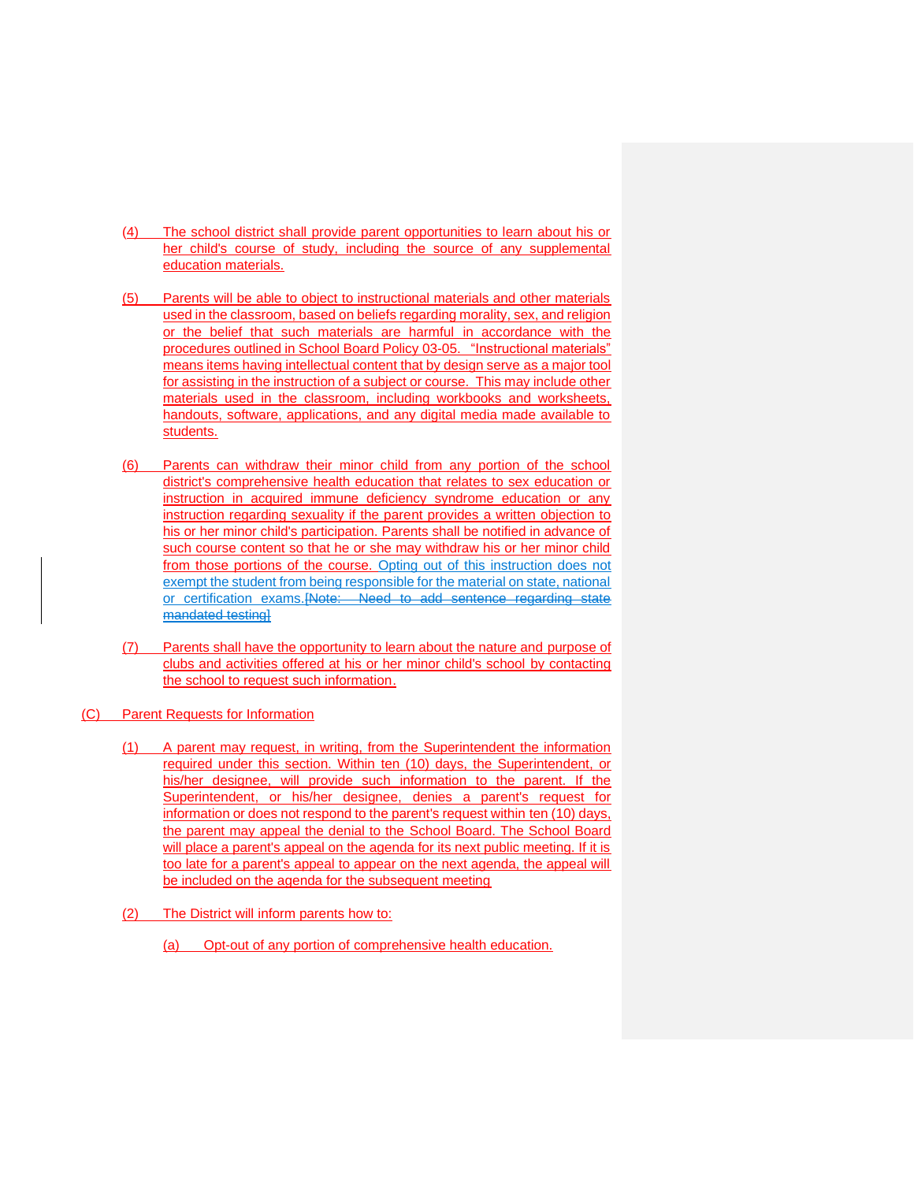- (4) The school district shall provide parent opportunities to learn about his or her child's course of study, including the source of any supplemental education materials.
- (5) Parents will be able to object to instructional materials and other materials used in the classroom, based on beliefs regarding morality, sex, and religion or the belief that such materials are harmful in accordance with the procedures outlined in School Board Policy 03-05. "Instructional materials" means items having intellectual content that by design serve as a major tool for assisting in the instruction of a subject or course. This may include other materials used in the classroom, including workbooks and worksheets, handouts, software, applications, and any digital media made available to students.
- (6) Parents can withdraw their minor child from any portion of the school district's comprehensive health education that relates to sex education or instruction in acquired immune deficiency syndrome education or any instruction regarding sexuality if the parent provides a written objection to his or her minor child's participation. Parents shall be notified in advance of such course content so that he or she may withdraw his or her minor child from those portions of the course. Opting out of this instruction does not exempt the student from being responsible for the material on state, national or certification exams.[Note: Need to add sentence regarding state mandated testingl
- (7) Parents shall have the opportunity to learn about the nature and purpose of clubs and activities offered at his or her minor child's school by contacting the school to request such information.
- (C) Parent Requests for Information
	- (1) A parent may request, in writing, from the Superintendent the information required under this section. Within ten (10) days, the Superintendent, or his/her designee, will provide such information to the parent. If the Superintendent, or his/her designee, denies a parent's request for information or does not respond to the parent's request within ten (10) days, the parent may appeal the denial to the School Board. The School Board will place a parent's appeal on the agenda for its next public meeting. If it is too late for a parent's appeal to appear on the next agenda, the appeal will be included on the agenda for the subsequent meeting
	- (2) The District will inform parents how to:
		- (a) Opt-out of any portion of comprehensive health education.